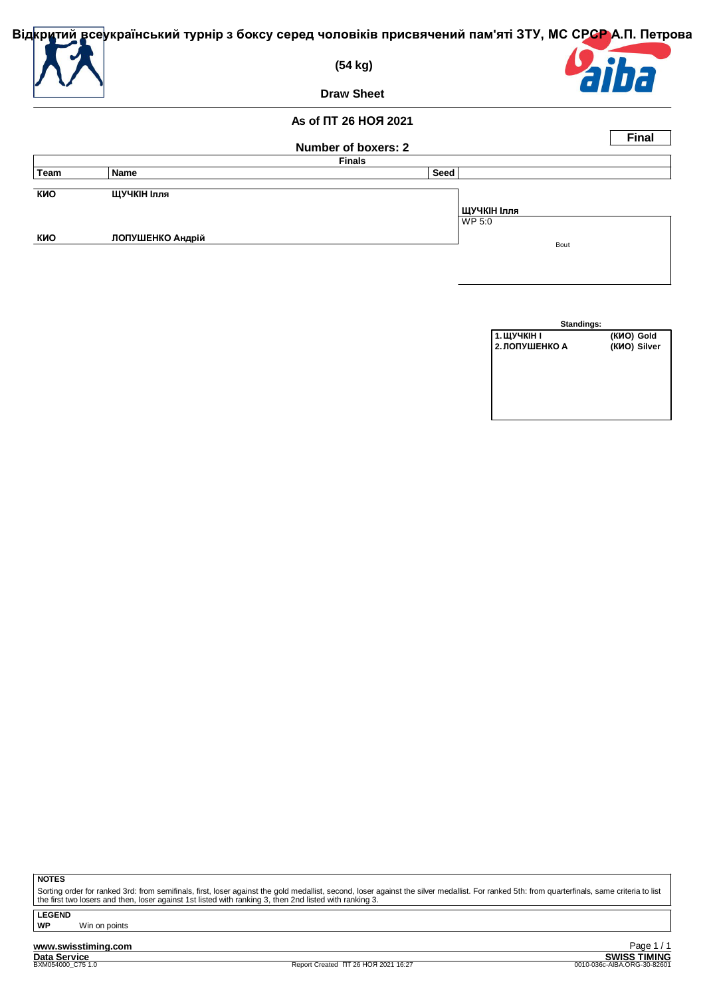

| Standings:     |              |
|----------------|--------------|
| 1. ЩУЧКІН І    | (KMO) Gold   |
| 2. ЛОПУШЕНКО А | (KИO) Silver |
|                |              |
|                |              |
|                |              |
|                |              |
|                |              |
|                |              |

**NOTES**

Sorting order for ranked 3rd: from semifinals, first, loser against the gold medallist, second, loser against the silver medallist. For ranked 5th: from quarterfinals, same criteria to list<br>the first two losers and then, l

**LEGEND WP** Win on points

**www.swisstiming.com**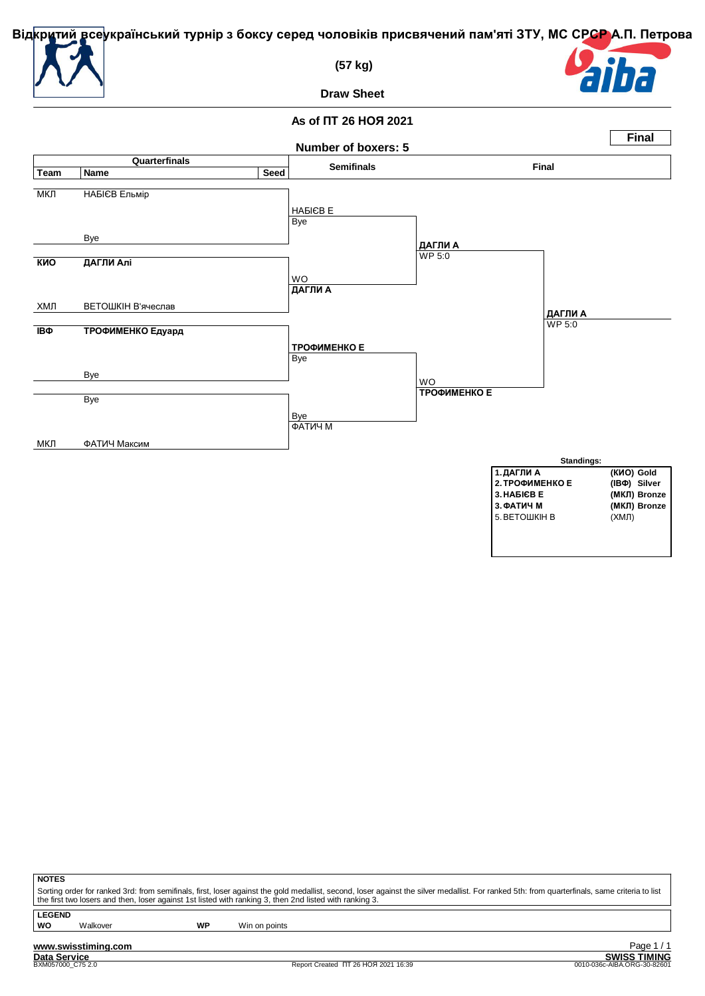

 **(57 kg)**



**Draw Sheet**

# **As of ПТ 26 НОЯ 2021**



| ٠ |
|---|
|---|

Sorting order for ranked 3rd: from semifinals, first, loser against the gold medallist, second, loser against the silver medallist. For ranked 5th: from quarterfinals, same criteria to list<br>the first two losers and then, l

**LEGEND**

**WO** Walkover **WP** Win on points

**www.swisstiming.com**<br>Data Service<br>BXM057000 C75 2.0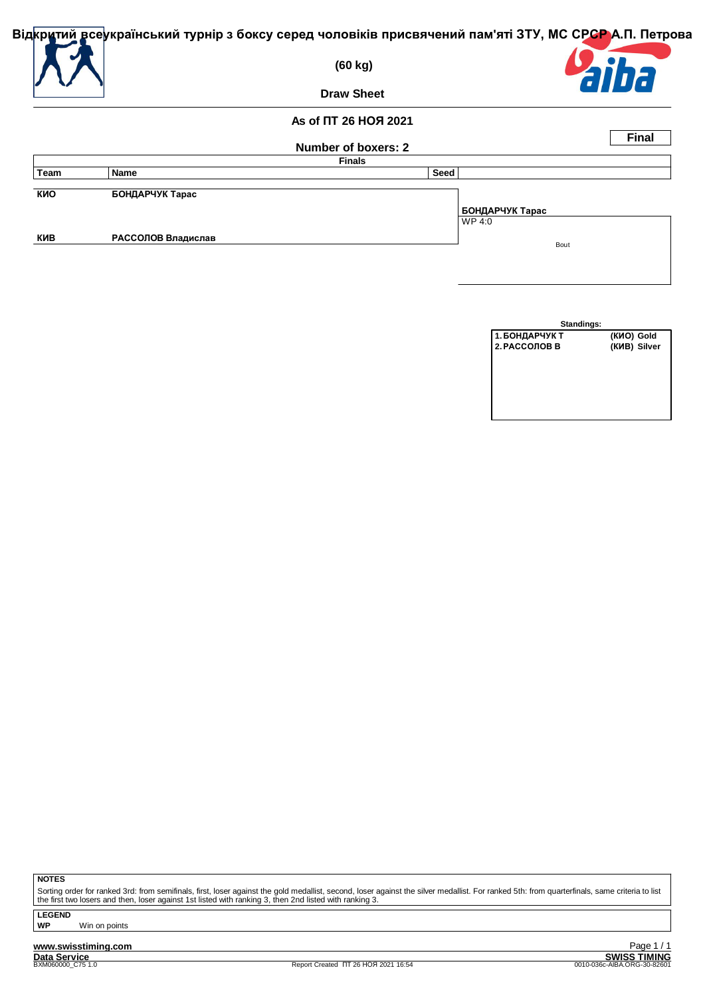

 **(60 kg)**



**Draw Sheet**

#### **As of ПТ 26 НОЯ 2021**

|      |                    |                     |                 | <b>Final</b> |
|------|--------------------|---------------------|-----------------|--------------|
|      |                    | Number of boxers: 2 |                 |              |
|      |                    | <b>Finals</b>       |                 |              |
| Team | <b>Name</b>        | Seed                |                 |              |
|      |                    |                     |                 |              |
| КИО  | БОНДАРЧУК Тарас    |                     |                 |              |
|      |                    |                     | БОНДАРЧУК Тарас |              |
|      |                    |                     | WP 4:0          |              |
| КИВ  | РАССОЛОВ Владислав |                     | Bout            |              |
|      |                    |                     |                 |              |
|      |                    |                     |                 |              |

| Standings:     |              |
|----------------|--------------|
| 1. БОНДАРЧУК Т | (KNO) Gold   |
| 2. РАССОЛОВ В  | (KVB) Silver |
|                |              |
|                |              |
|                |              |
|                |              |
|                |              |
|                |              |

**NOTES**

Sorting order for ranked 3rd: from semifinals, first, loser against the gold medallist, second, loser against the silver medallist. For ranked 5th: from quarterfinals, same criteria to list<br>the first two losers and then, l

**LEGEND**

**WP** Win on points

**www.swisstiming.com**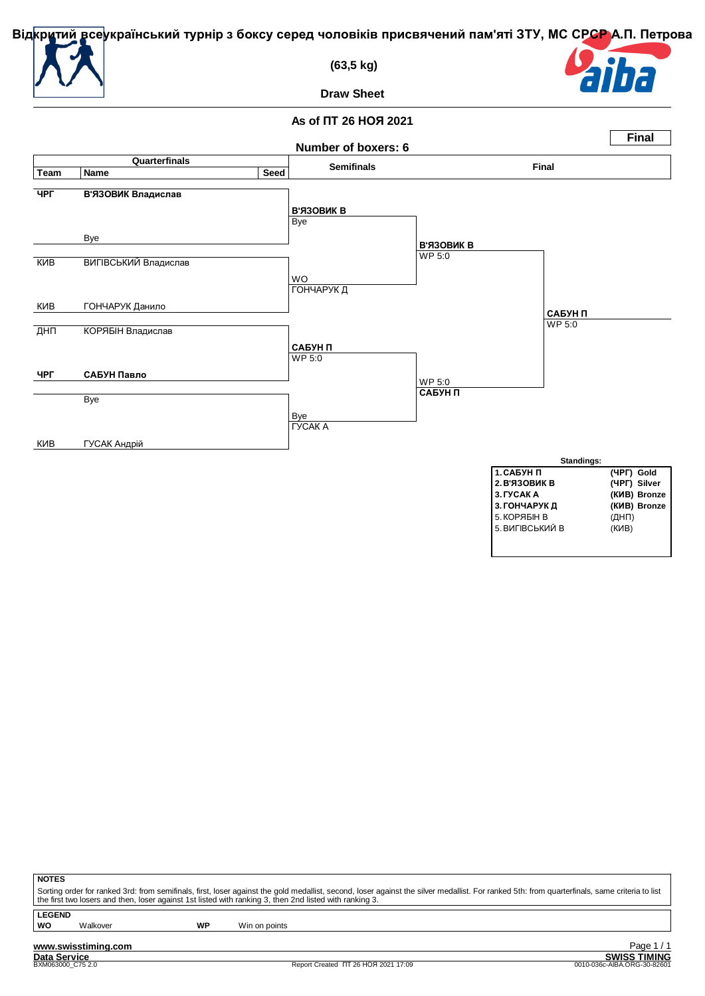

 **(63,5 kg)**



**Draw Sheet**

# **As of ПТ 26 НОЯ 2021**



| v<br>o. |  |
|---------|--|
|---------|--|

Sorting order for ranked 3rd: from semifinals, first, loser against the gold medallist, second, loser against the silver medallist. For ranked 5th: from quarterfinals, same criteria to list<br>the first two losers and then, l

**LEGEND**

**WO** Walkover **WP** Win on points

**www.swisstiming.com**<br>Data Service<br>BXM063000 C75 2.0

<u>Call of the SWISS TIMING</u><br>
SWISS TIMING<br>
20010-036c-AIBA.ORG-30-82601 Page 1 / 1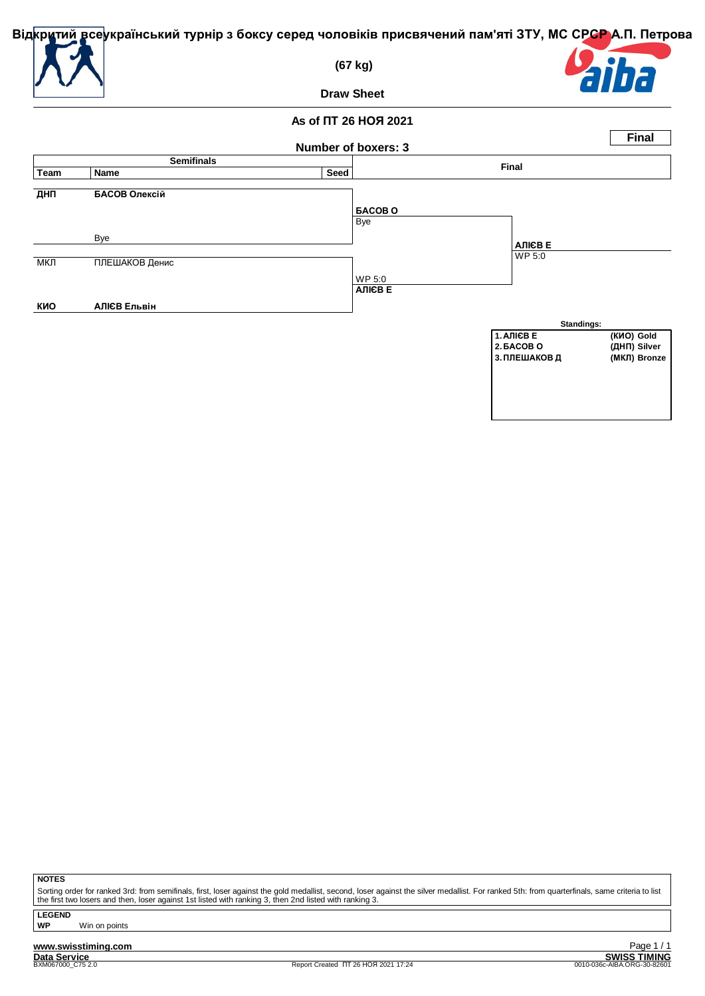

**ДНП** 

 $M$ КЛ

**КИО** 

 **(67 kg)**



**Draw Sheet**

**As of ПТ 26 НОЯ 2021**

|             |                   |      | Number of boxers: 3 |               | <b>Final</b> |
|-------------|-------------------|------|---------------------|---------------|--------------|
|             | <b>Semifinals</b> |      |                     |               |              |
| <b>Team</b> | Name              | Seed |                     | Final         |              |
| ДНП         | БАСОВ Олексій     |      |                     |               |              |
|             |                   |      | <b>GACOBO</b>       |               |              |
|             |                   |      | Bye                 |               |              |
|             | Bye               |      |                     | <b>АЛІЄВЕ</b> |              |
|             |                   |      |                     |               |              |
| МКЛ         | ПЛЕШАКОВ Денис    |      |                     | <b>WP 5:0</b> |              |
|             |                   |      | WP 5:0              |               |              |
|             |                   |      | <b>АЛІЄВЕ</b>       |               |              |
| КИО         | АЛІЄВ Ельвін      |      |                     |               |              |
|             |                   |      |                     |               |              |



**NOTES**

Sorting order for ranked 3rd: from semifinals, first, loser against the gold medallist, second, loser against the silver medallist. For ranked 5th: from quarterfinals, same criteria to list<br>the first two losers and then, l

**LEGEND**

**WP** Win on points

**www.swisstiming.com**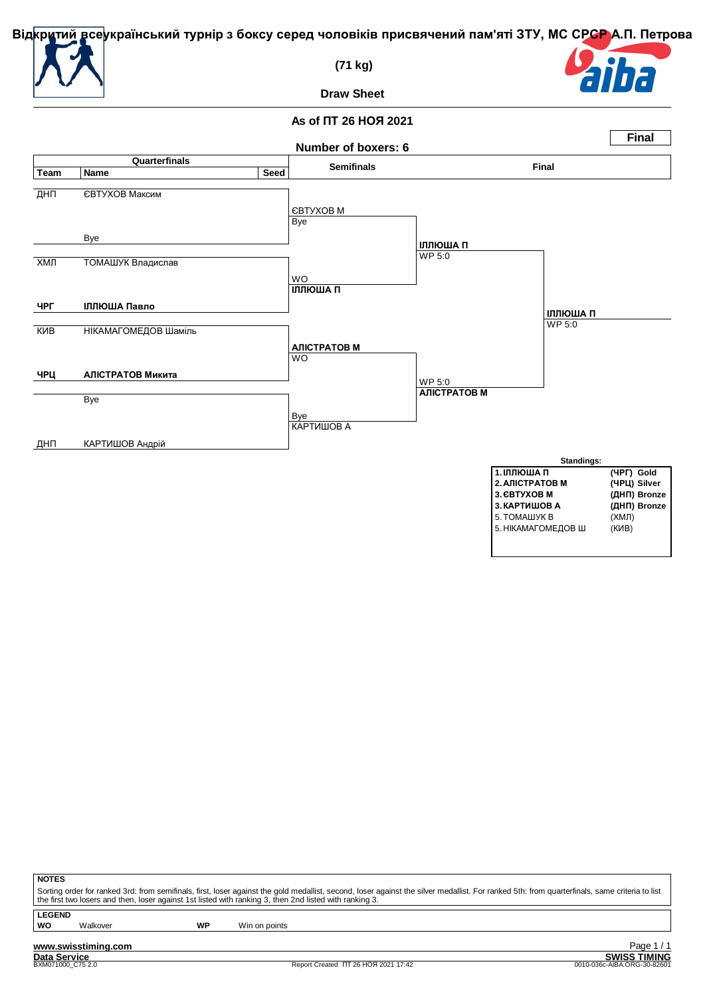

 **(71 kg)**



**Draw Sheet**

### **As of ПТ 26 НОЯ 2021**



| v. |   |
|----|---|
|    | ٠ |
| ۰. |   |
|    |   |
|    |   |

Sorting order for ranked 3rd: from semifinals, first, loser against the gold medallist, second, loser against the silver medallist. For ranked 5th: from quarterfinals, same criteria to list<br>the first two losers and then, l

**LEGEND**

**WO** Walkover **WP** Win on points

**www.swisstiming.com**<br>Data Service<br>BXM071000 C75 2.0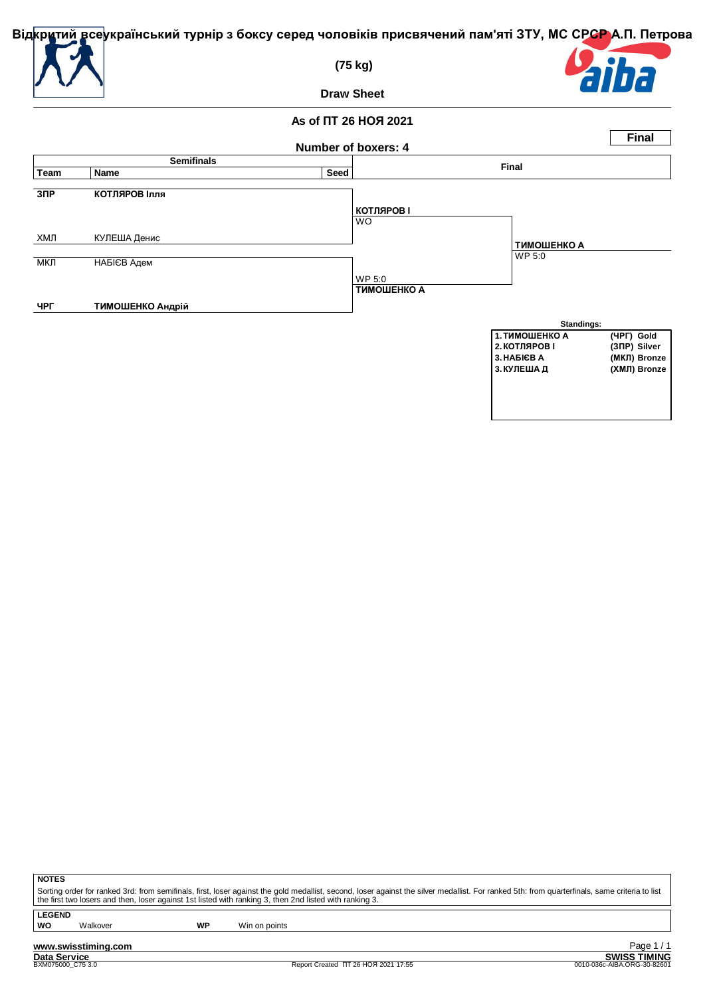

 **(75 kg)**



**Draw Sheet**

#### **As of ПТ 26 НОЯ 2021 Number of boxers: 4 Final Semifinals Final Team Name Seed ЗПР КОТЛЯРОВ Ілля** WO ХМЛ КУЛЕША Денис МКЛ НАБІЄВ Адем WP 5:0 **ЧРГ ТИМОШЕНКО Андрій КОТЛЯРОВ І** WP 5:0 **ТИМОШЕНКО А ТИМОШЕНКО А Standings: 1.ТИМОШЕНКО А (ЧРГ) Gold 2.КОТЛЯРОВ І (ЗПР) Silver 3.НАБІЄВ А (МКЛ) Bronze**  $(XMJ)$  Bronze

**NOTES**

Sorting order for ranked 3rd: from semifinals, first, loser against the gold medallist, second, loser against the silver medallist. For ranked 5th: from quarterfinals, same criteria to list<br>the first two losers and then, l

**LEGEND**

**WO** Walkover **WP** Win on points

**www.swisstiming.com**<br>Data Service<br>BXM075000 C75 3.0

<u>**Data Services**<br>
SWISS TIMING</u><br>
0010-036c-AIBA.ORG-30-82601 Page 1 / 1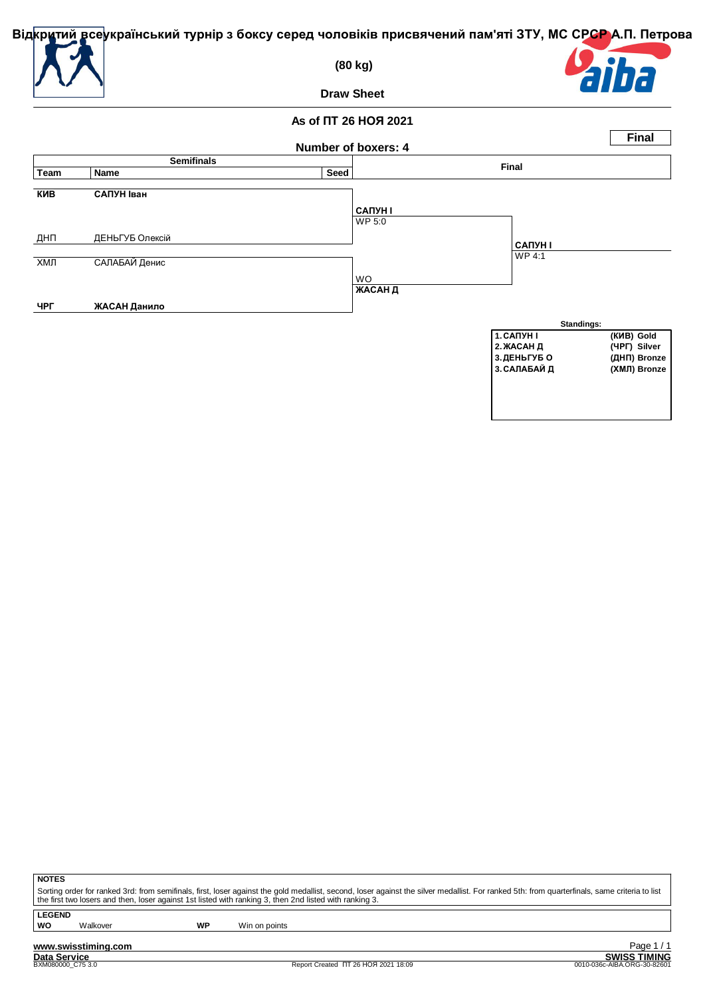

 **(80 kg)**



**Draw Sheet**

#### **As of ПТ 26 НОЯ 2021 Number of boxers: 4 Final Semifinals Final Team Name Seed КИВ САПУН Іван** WP 5:0 ДНП ДЕНЬГУБ Олексій ХМЛ САЛАБАЙ Денис WO **ЧРГ ЖАСАН Данило САПУН І** WP 4:1 **ЖАСАН Д САПУН І Standings: 1.САПУН І (КИВ) Gold 2.ЖАСАН Д (ЧРГ) Silver 3.ДЕНЬГУБ О (ДНП) Bronze**  $\overline{3}$ . САЛАБАЙ Д

**NOTES**

Sorting order for ranked 3rd: from semifinals, first, loser against the gold medallist, second, loser against the silver medallist. For ranked 5th: from quarterfinals, same criteria to list<br>the first two losers and then, l

**LEGEND**

**WO** Walkover **WP** Win on points

**www.swisstiming.com**<br>Data Service<br>BXM080000 C75 3.0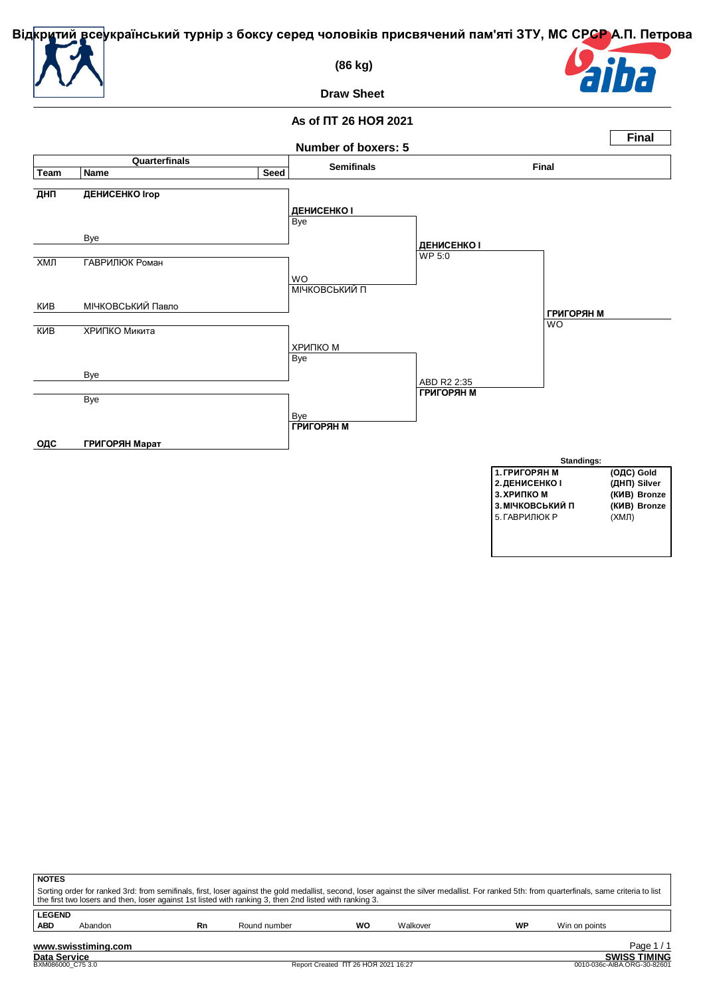

 **(86 kg)**



**Draw Sheet**

# **As of ПТ 26 НОЯ 2021**



| <b>NOTES</b>  |                     |    |                                                                                                                                                                                                                                                                                                          |    |          |    |               |        |
|---------------|---------------------|----|----------------------------------------------------------------------------------------------------------------------------------------------------------------------------------------------------------------------------------------------------------------------------------------------------------|----|----------|----|---------------|--------|
|               |                     |    | Sorting order for ranked 3rd: from semifinals, first, loser against the gold medallist, second, loser against the silver medallist. For ranked 5th: from quarterfinals, same criteria to list<br>the first two losers and then, loser against 1st listed with ranking 3, then 2nd listed with ranking 3. |    |          |    |               |        |
| <b>LEGEND</b> |                     |    |                                                                                                                                                                                                                                                                                                          |    |          |    |               |        |
| <b>ABD</b>    | Abandon             | Rn | Round number                                                                                                                                                                                                                                                                                             | WO | Walkover | WP | Win on points |        |
|               | www.swisstiming.com |    |                                                                                                                                                                                                                                                                                                          |    |          |    |               | Page 1 |

**Data Service SWISS TIMING**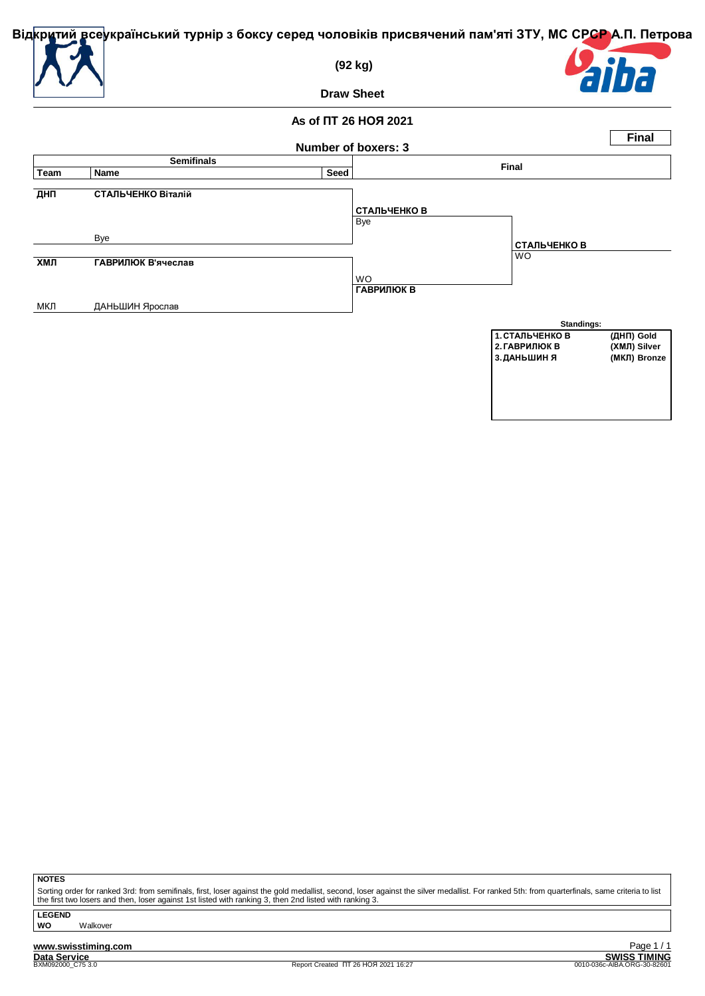

МКЛ ДАНЬШИН Ярослав

 **(92 kg)**



**Final**

**Draw Sheet**

**As of ПТ 26 НОЯ 2021**

### **Number of boxers: 3 Semifinals Final Team Name Seed ДНП СТАЛЬЧЕНКО Віталій** Bye Bye **ХМЛ ГАВРИЛЮК В'ячеслав** WO **СТАЛЬЧЕНКО В** WO **ГАВРИЛЮК В СТАЛЬЧЕНКО В**



**NOTES**

Sorting order for ranked 3rd: from semifinals, first, loser against the gold medallist, second, loser against the silver medallist. For ranked 5th: from quarterfinals, same criteria to list<br>the first two losers and then, l

**LEGEND WO** Walkover

**www.swisstiming.com**<br>Data Service<br>**BXM092000\_C75** 3.0